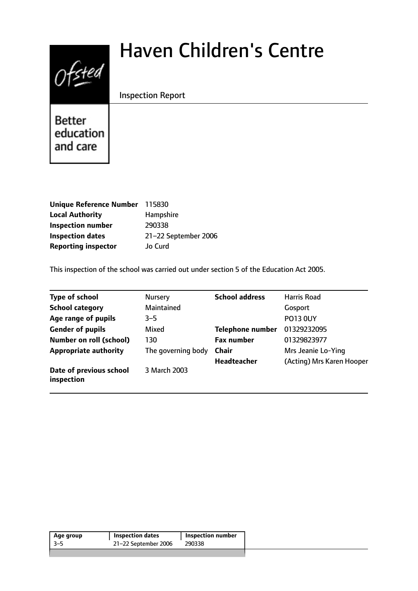# $0$ fsted

# Haven Children's Centre

# Inspection Report

Better education and care

| Unique Reference Number 115830 |                      |
|--------------------------------|----------------------|
| <b>Local Authority</b>         | Hampshire            |
| <b>Inspection number</b>       | 290338               |
| <b>Inspection dates</b>        | 21-22 September 2006 |
| <b>Reporting inspector</b>     | Jo Curd              |

This inspection of the school was carried out under section 5 of the Education Act 2005.

| <b>Type of school</b>                 | Nursery            | <b>School address</b>   | Harris Road               |
|---------------------------------------|--------------------|-------------------------|---------------------------|
| <b>School category</b>                | Maintained         |                         | Gosport                   |
| Age range of pupils                   | $3 - 5$            |                         | <b>PO13 0UY</b>           |
| <b>Gender of pupils</b>               | Mixed              | <b>Telephone number</b> | 01329232095               |
| <b>Number on roll (school)</b>        | 130                | <b>Fax number</b>       | 01329823977               |
| <b>Appropriate authority</b>          | The governing body | <b>Chair</b>            | Mrs Jeanie Lo-Ying        |
|                                       |                    | <b>Headteacher</b>      | (Acting) Mrs Karen Hooper |
| Date of previous school<br>inspection | 3 March 2003       |                         |                           |

| Age group | <b>Inspection dates</b> | Inspection number |
|-----------|-------------------------|-------------------|
| -3–5      | 21-22 September 2006    | 290338            |
|           |                         |                   |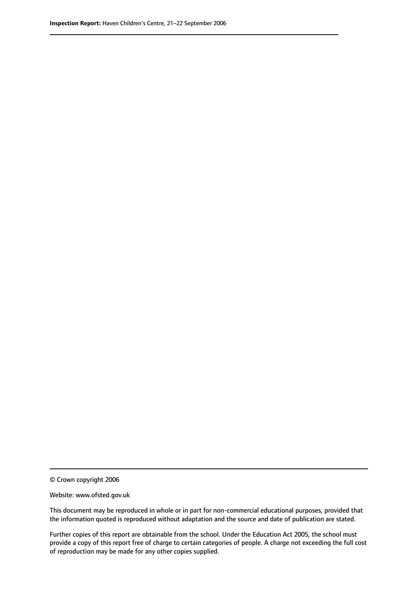© Crown copyright 2006

Website: www.ofsted.gov.uk

This document may be reproduced in whole or in part for non-commercial educational purposes, provided that the information quoted is reproduced without adaptation and the source and date of publication are stated.

Further copies of this report are obtainable from the school. Under the Education Act 2005, the school must provide a copy of this report free of charge to certain categories of people. A charge not exceeding the full cost of reproduction may be made for any other copies supplied.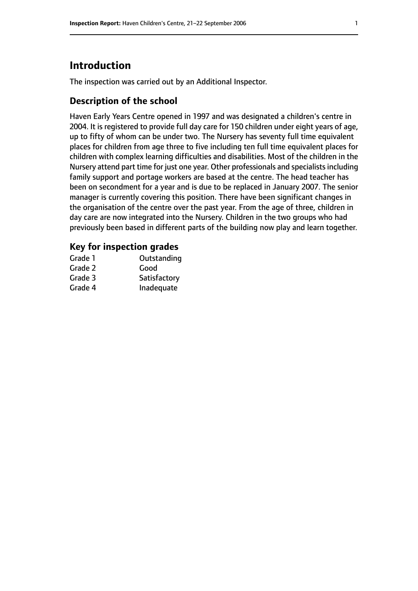# **Introduction**

The inspection was carried out by an Additional Inspector.

# **Description of the school**

Haven Early Years Centre opened in 1997 and was designated a children's centre in 2004. It is registered to provide full day care for 150 children under eight years of age, up to fifty of whom can be under two. The Nursery has seventy full time equivalent places for children from age three to five including ten full time equivalent places for children with complex learning difficulties and disabilities. Most of the children in the Nursery attend part time for just one year. Other professionals and specialistsincluding family support and portage workers are based at the centre. The head teacher has been on secondment for a year and is due to be replaced in January 2007. The senior manager is currently covering this position. There have been significant changes in the organisation of the centre over the past year. From the age of three, children in day care are now integrated into the Nursery. Children in the two groups who had previously been based in different parts of the building now play and learn together.

#### **Key for inspection grades**

| Grade 1 | Outstanding  |
|---------|--------------|
| Grade 2 | Good         |
| Grade 3 | Satisfactory |
| Grade 4 | Inadequate   |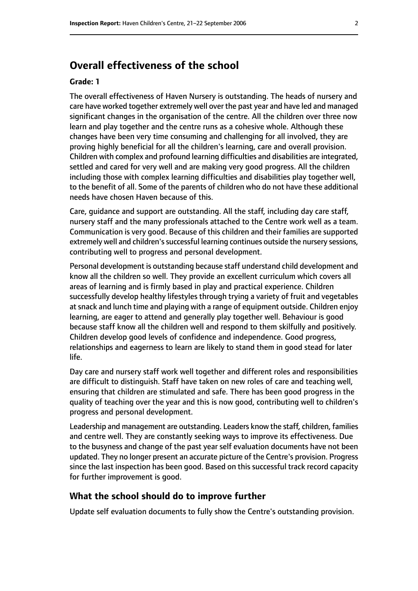# **Overall effectiveness of the school**

#### **Grade: 1**

The overall effectiveness of Haven Nursery is outstanding. The heads of nursery and care have worked together extremely well over the past year and have led and managed significant changes in the organisation of the centre. All the children over three now learn and play together and the centre runs as a cohesive whole. Although these changes have been very time consuming and challenging for all involved, they are proving highly beneficial for all the children's learning, care and overall provision. Children with complex and profound learning difficulties and disabilities are integrated, settled and cared for very well and are making very good progress. All the children including those with complex learning difficulties and disabilities play together well, to the benefit of all. Some of the parents of children who do not have these additional needs have chosen Haven because of this.

Care, guidance and support are outstanding. All the staff, including day care staff, nursery staff and the many professionals attached to the Centre work well as a team. Communication is very good. Because of this children and their families are supported extremely well and children's successful learning continues outside the nursery sessions, contributing well to progress and personal development.

Personal development is outstanding because staff understand child development and know all the children so well. They provide an excellent curriculum which covers all areas of learning and is firmly based in play and practical experience. Children successfully develop healthy lifestyles through trying a variety of fruit and vegetables atsnack and lunch time and playing with a range of equipment outside. Children enjoy learning, are eager to attend and generally play together well. Behaviour is good because staff know all the children well and respond to them skilfully and positively. Children develop good levels of confidence and independence. Good progress, relationships and eagerness to learn are likely to stand them in good stead for later life.

Day care and nursery staff work well together and different roles and responsibilities are difficult to distinguish. Staff have taken on new roles of care and teaching well, ensuring that children are stimulated and safe. There has been good progress in the quality of teaching over the year and this is now good, contributing well to children's progress and personal development.

Leadership and management are outstanding. Leaders know the staff, children, families and centre well. They are constantly seeking ways to improve its effectiveness. Due to the busyness and change of the past year self evaluation documents have not been updated. They no longer present an accurate picture of the Centre's provision. Progress since the last inspection has been good. Based on this successful track record capacity for further improvement is good.

#### **What the school should do to improve further**

Update self evaluation documents to fully show the Centre's outstanding provision.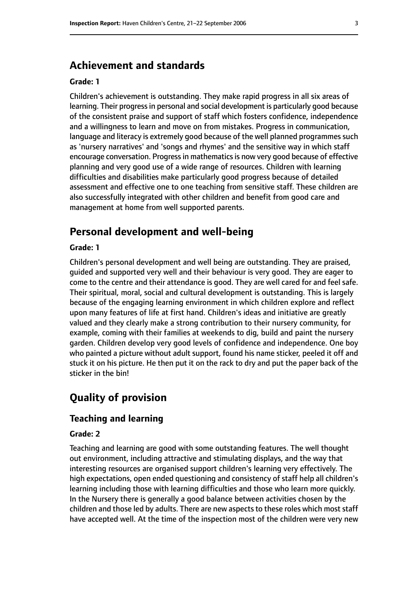# **Achievement and standards**

#### **Grade: 1**

Children's achievement is outstanding. They make rapid progress in all six areas of learning. Their progress in personal and social development is particularly good because of the consistent praise and support of staff which fosters confidence, independence and a willingness to learn and move on from mistakes. Progress in communication, language and literacy is extremely good because of the well planned programmes such as 'nursery narratives' and 'songs and rhymes' and the sensitive way in which staff encourage conversation. Progress in mathematics is now very good because of effective planning and very good use of a wide range of resources. Children with learning difficulties and disabilities make particularly good progress because of detailed assessment and effective one to one teaching from sensitive staff. These children are also successfully integrated with other children and benefit from good care and management at home from well supported parents.

# **Personal development and well-being**

#### **Grade: 1**

Children's personal development and well being are outstanding. They are praised, guided and supported very well and their behaviour is very good. They are eager to come to the centre and their attendance is good. They are well cared for and feel safe. Their spiritual, moral, social and cultural development is outstanding. This is largely because of the engaging learning environment in which children explore and reflect upon many features of life at first hand. Children's ideas and initiative are greatly valued and they clearly make a strong contribution to their nursery community, for example, coming with their families at weekends to dig, build and paint the nursery garden. Children develop very good levels of confidence and independence. One boy who painted a picture without adult support, found his name sticker, peeled it off and stuck it on his picture. He then put it on the rack to dry and put the paper back of the sticker in the bin!

# **Quality of provision**

#### **Teaching and learning**

#### **Grade: 2**

Teaching and learning are good with some outstanding features. The well thought out environment, including attractive and stimulating displays, and the way that interesting resources are organised support children's learning very effectively. The high expectations, open ended questioning and consistency of staff help all children's learning including those with learning difficulties and those who learn more quickly. In the Nursery there is generally a good balance between activities chosen by the children and those led by adults. There are new aspects to these roles which most staff have accepted well. At the time of the inspection most of the children were very new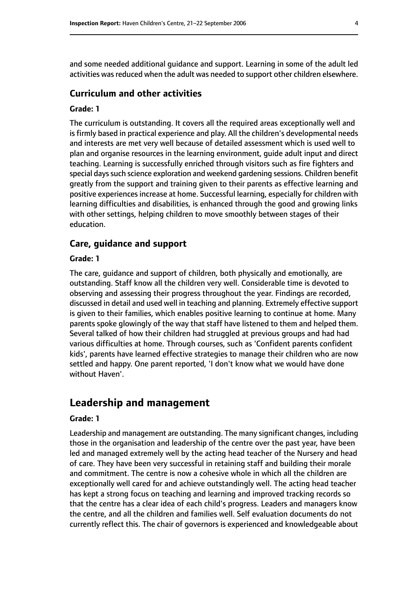and some needed additional guidance and support. Learning in some of the adult led activities was reduced when the adult was needed to support other children elsewhere.

#### **Curriculum and other activities**

#### **Grade: 1**

The curriculum is outstanding. It covers all the required areas exceptionally well and is firmly based in practical experience and play. All the children's developmental needs and interests are met very well because of detailed assessment which is used well to plan and organise resources in the learning environment, guide adult input and direct teaching. Learning is successfully enriched through visitors such as fire fighters and special days such science exploration and weekend gardening sessions. Children benefit greatly from the support and training given to their parents as effective learning and positive experiences increase at home. Successful learning, especially for children with learning difficulties and disabilities, is enhanced through the good and growing links with other settings, helping children to move smoothly between stages of their education.

#### **Care, guidance and support**

#### **Grade: 1**

The care, guidance and support of children, both physically and emotionally, are outstanding. Staff know all the children very well. Considerable time is devoted to observing and assessing their progress throughout the year. Findings are recorded, discussed in detail and used well in teaching and planning. Extremely effective support is given to their families, which enables positive learning to continue at home. Many parents spoke glowingly of the way that staff have listened to them and helped them. Several talked of how their children had struggled at previous groups and had had various difficulties at home. Through courses, such as 'Confident parents confident kids', parents have learned effective strategies to manage their children who are now settled and happy. One parent reported, 'I don't know what we would have done without Haven'.

# **Leadership and management**

#### **Grade: 1**

Leadership and management are outstanding. The many significant changes, including those in the organisation and leadership of the centre over the past year, have been led and managed extremely well by the acting head teacher of the Nursery and head of care. They have been very successful in retaining staff and building their morale and commitment. The centre is now a cohesive whole in which all the children are exceptionally well cared for and achieve outstandingly well. The acting head teacher has kept a strong focus on teaching and learning and improved tracking records so that the centre has a clear idea of each child's progress. Leaders and managers know the centre, and all the children and families well. Self evaluation documents do not currently reflect this. The chair of governors is experienced and knowledgeable about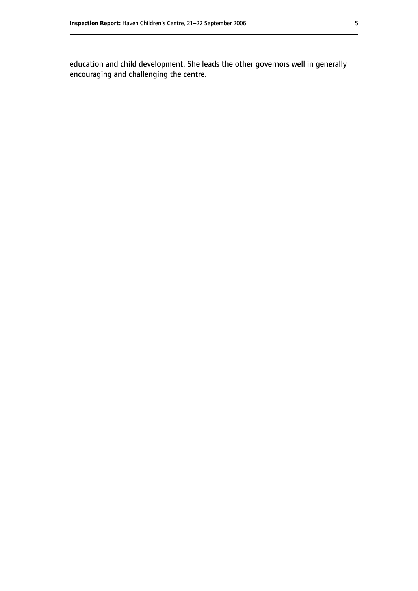education and child development. She leads the other governors well in generally encouraging and challenging the centre.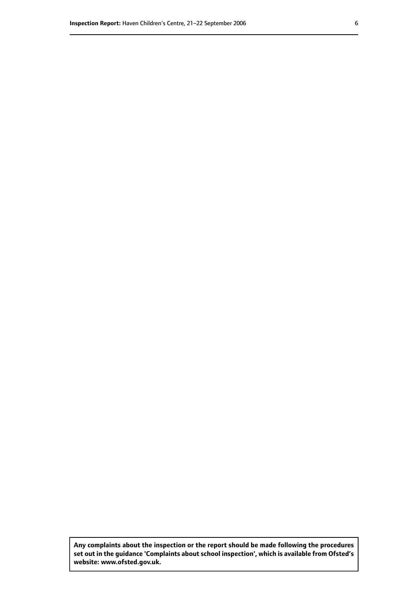**Any complaints about the inspection or the report should be made following the procedures set out inthe guidance 'Complaints about school inspection', whichis available from Ofsted's website: www.ofsted.gov.uk.**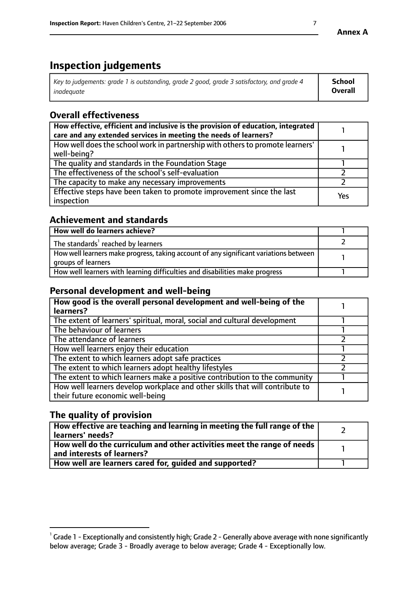# **Inspection judgements**

| Key to judgements: grade 1 is outstanding, grade 2 good, grade 3 satisfactory, and grade 4 | <b>School</b>  |
|--------------------------------------------------------------------------------------------|----------------|
| inadeauate                                                                                 | <b>Overall</b> |

# **Overall effectiveness**

| How effective, efficient and inclusive is the provision of education, integrated<br>care and any extended services in meeting the needs of learners? |     |
|------------------------------------------------------------------------------------------------------------------------------------------------------|-----|
| How well does the school work in partnership with others to promote learners'<br>well-being?                                                         |     |
| The quality and standards in the Foundation Stage                                                                                                    |     |
| The effectiveness of the school's self-evaluation                                                                                                    |     |
| The capacity to make any necessary improvements                                                                                                      |     |
| Effective steps have been taken to promote improvement since the last<br>inspection                                                                  | Yes |

# **Achievement and standards**

| How well do learners achieve?                                                                               |  |
|-------------------------------------------------------------------------------------------------------------|--|
| The standards <sup>1</sup> reached by learners                                                              |  |
| How well learners make progress, taking account of any significant variations between<br>groups of learners |  |
| How well learners with learning difficulties and disabilities make progress                                 |  |

### **Personal development and well-being**

| How good is the overall personal development and well-being of the<br>learners?                                  |  |
|------------------------------------------------------------------------------------------------------------------|--|
| The extent of learners' spiritual, moral, social and cultural development                                        |  |
| The behaviour of learners                                                                                        |  |
| The attendance of learners                                                                                       |  |
| How well learners enjoy their education                                                                          |  |
| The extent to which learners adopt safe practices                                                                |  |
| The extent to which learners adopt healthy lifestyles                                                            |  |
| The extent to which learners make a positive contribution to the community                                       |  |
| How well learners develop workplace and other skills that will contribute to<br>their future economic well-being |  |

# **The quality of provision**

| How effective are teaching and learning in meeting the full range of the<br>learners' needs?          |  |
|-------------------------------------------------------------------------------------------------------|--|
| How well do the curriculum and other activities meet the range of needs<br>and interests of learners? |  |
| How well are learners cared for, quided and supported?                                                |  |

 $^1$  Grade 1 - Exceptionally and consistently high; Grade 2 - Generally above average with none significantly below average; Grade 3 - Broadly average to below average; Grade 4 - Exceptionally low.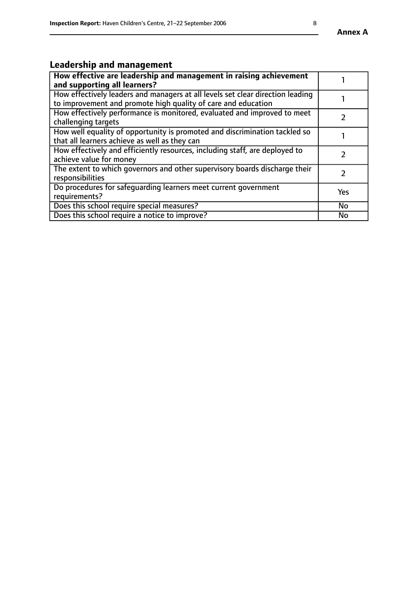#### **Annex A**

# **Leadership and management**

| How effective are leadership and management in raising achievement<br>and supporting all learners?                                              |           |
|-------------------------------------------------------------------------------------------------------------------------------------------------|-----------|
| How effectively leaders and managers at all levels set clear direction leading<br>to improvement and promote high quality of care and education |           |
| How effectively performance is monitored, evaluated and improved to meet<br>challenging targets                                                 |           |
| How well equality of opportunity is promoted and discrimination tackled so<br>that all learners achieve as well as they can                     |           |
| How effectively and efficiently resources, including staff, are deployed to<br>achieve value for money                                          |           |
| The extent to which governors and other supervisory boards discharge their<br>responsibilities                                                  |           |
| Do procedures for safequarding learners meet current government<br>requirements?                                                                | Yes       |
| Does this school require special measures?                                                                                                      | <b>No</b> |
| Does this school require a notice to improve?                                                                                                   | No        |